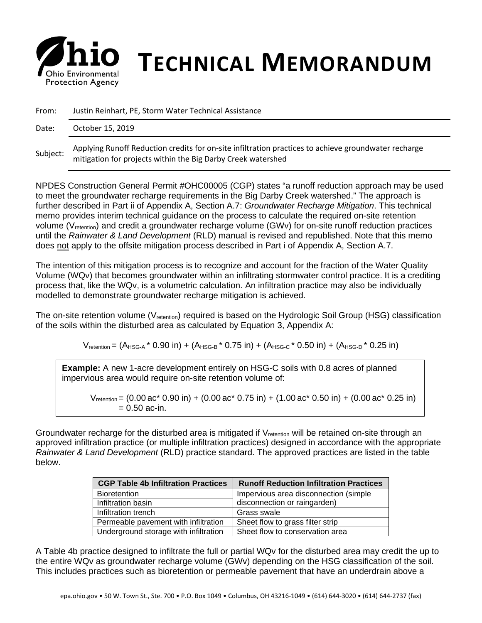

## *S* **his Environmental <b>TECHNICAL MEMORANDUM**

| From:    | Justin Reinhart, PE, Storm Water Technical Assistance                                                                                                                |  |  |
|----------|----------------------------------------------------------------------------------------------------------------------------------------------------------------------|--|--|
| Date:    | October 15, 2019                                                                                                                                                     |  |  |
| Subject: | Applying Runoff Reduction credits for on-site infiltration practices to achieve groundwater recharge<br>mitigation for projects within the Big Darby Creek watershed |  |  |

NPDES Construction General Permit #OHC00005 (CGP) states "a runoff reduction approach may be used to meet the groundwater recharge requirements in the Big Darby Creek watershed." The approach is further described in Part ii of Appendix A, Section A.7: *Groundwater Recharge Mitigation*. This technical memo provides interim technical guidance on the process to calculate the required on-site retention volume (V<sub>retention</sub>) and credit a groundwater recharge volume (GWv) for on-site runoff reduction practices until the *Rainwater & Land Development* (RLD) manual is revised and republished. Note that this memo does not apply to the offsite mitigation process described in Part i of Appendix A, Section A.7.

The intention of this mitigation process is to recognize and account for the fraction of the Water Quality Volume (WQv) that becomes groundwater within an infiltrating stormwater control practice. It is a crediting process that, like the WQv, is a volumetric calculation. An infiltration practice may also be individually modelled to demonstrate groundwater recharge mitigation is achieved.

The on-site retention volume (V<sub>retention</sub>) required is based on the Hydrologic Soil Group (HSG) classification of the soils within the disturbed area as calculated by Equation 3, Appendix A:

 $V_{\text{retention}} = (A_{HSG-A} * 0.90 \text{ in}) + (A_{HSG-B} * 0.75 \text{ in}) + (A_{HSG-C} * 0.50 \text{ in}) + (A_{HSG-D} * 0.25 \text{ in})$ 

**Example:** A new 1-acre development entirely on HSG-C soils with 0.8 acres of planned impervious area would require on-site retention volume of:

 $V_{\text{retention}} = (0.00 \text{ ac}^* 0.90 \text{ in}) + (0.00 \text{ ac}^* 0.75 \text{ in}) + (1.00 \text{ ac}^* 0.50 \text{ in}) + (0.00 \text{ ac}^* 0.25 \text{ in})$  $= 0.50$  ac-in.

Groundwater recharge for the disturbed area is mitigated if V<sub>retention</sub> will be retained on-site through an approved infiltration practice (or multiple infiltration practices) designed in accordance with the appropriate *Rainwater & Land Development* (RLD) practice standard. The approved practices are listed in the table below.

| <b>CGP Table 4b Infiltration Practices</b> | <b>Runoff Reduction Infiltration Practices</b> |  |  |
|--------------------------------------------|------------------------------------------------|--|--|
| <b>Bioretention</b>                        | Impervious area disconnection (simple)         |  |  |
| Infiltration basin                         | disconnection or raingarden)                   |  |  |
| Infiltration trench                        | Grass swale                                    |  |  |
| Permeable pavement with infiltration       | Sheet flow to grass filter strip               |  |  |
| Underground storage with infiltration      | Sheet flow to conservation area                |  |  |

A Table 4b practice designed to infiltrate the full or partial WQv for the disturbed area may credit the up to the entire WQv as groundwater recharge volume (GWv) depending on the HSG classification of the soil. This includes practices such as bioretention or permeable pavement that have an underdrain above a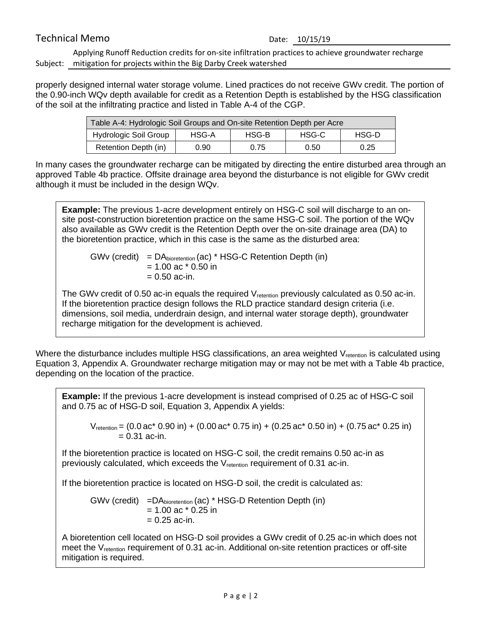## Technical Memo<br>
Date: 10/15/19

Subject: mitigation for projects within the Big Darby Creek watershed Applying Runoff Reduction credits for on-site infiltration practices to achieve groundwater recharge

properly designed internal water storage volume. Lined practices do not receive GWv credit. The portion of the 0.90-inch WQv depth available for credit as a Retention Depth is established by the HSG classification of the soil at the infiltrating practice and listed in Table A-4 of the CGP.

| Table A-4: Hydrologic Soil Groups and On-site Retention Depth per Acre |       |       |       |       |  |  |
|------------------------------------------------------------------------|-------|-------|-------|-------|--|--|
| <b>Hydrologic Soil Group</b>                                           | HSG-A | HSG-B | HSG-C | HSG-D |  |  |
| Retention Depth (in)                                                   | 0.90  | 0.75  | 0.50  | 0.25  |  |  |

In many cases the groundwater recharge can be mitigated by directing the entire disturbed area through an approved Table 4b practice. Offsite drainage area beyond the disturbance is not eligible for GWv credit although it must be included in the design WQv.

**Example:** The previous 1-acre development entirely on HSG-C soil will discharge to an onsite post-construction bioretention practice on the same HSG-C soil. The portion of the WQv also available as GWv credit is the Retention Depth over the on-site drainage area (DA) to the bioretention practice, which in this case is the same as the disturbed area:

 $GWv$  (credit) =  $DA<sub>bicretention</sub>$  (ac) \* HSG-C Retention Depth (in)  $= 1.00$  ac  $*$  0.50 in  $= 0.50$  ac-in.

The GWv credit of 0.50 ac-in equals the required V<sub>retention</sub> previously calculated as 0.50 ac-in. If the bioretention practice design follows the RLD practice standard design criteria (i.e. dimensions, soil media, underdrain design, and internal water storage depth), groundwater recharge mitigation for the development is achieved.

Where the disturbance includes multiple HSG classifications, an area weighted V<sub>retention</sub> is calculated using Equation 3, Appendix A. Groundwater recharge mitigation may or may not be met with a Table 4b practice, depending on the location of the practice.

**Example:** If the previous 1-acre development is instead comprised of 0.25 ac of HSG-C soil and 0.75 ac of HSG-D soil, Equation 3, Appendix A yields:

 $V_{\text{reention}} = (0.0 \text{ ac}^* 0.90 \text{ in}) + (0.00 \text{ ac}^* 0.75 \text{ in}) + (0.25 \text{ ac}^* 0.50 \text{ in}) + (0.75 \text{ ac}^* 0.25 \text{ in})$  $= 0.31$  ac-in.

If the bioretention practice is located on HSG-C soil, the credit remains 0.50 ac-in as previously calculated, which exceeds the V<sub>retention</sub> requirement of 0.31 ac-in.

If the bioretention practice is located on HSG-D soil, the credit is calculated as:

GWv (credit) =DAbioretention (ac) \* HSG-D Retention Depth (in)  $= 1.00$  ac  $*$  0.25 in  $= 0.25$  ac-in.

A bioretention cell located on HSG-D soil provides a GWv credit of 0.25 ac-in which does not meet the V<sub>retention</sub> requirement of 0.31 ac-in. Additional on-site retention practices or off-site mitigation is required.